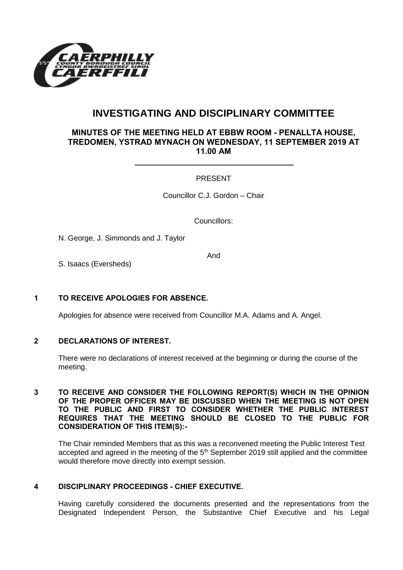

# **INVESTIGATING AND DISCIPLINARY COMMITTEE**

## **MINUTES OF THE MEETING HELD AT EBBW ROOM - PENALLTA HOUSE, TREDOMEN, YSTRAD MYNACH ON WEDNESDAY, 11 SEPTEMBER 2019 AT 11.00 AM**

## PRESENT

Councillor C.J. Gordon – Chair

Councillors:

N. George, J. Simmonds and J. Taylor

And

S. Isaacs (Eversheds)

#### **1 TO RECEIVE APOLOGIES FOR ABSENCE.**

Apologies for absence were received from Councillor M.A. Adams and A. Angel.

#### **2 DECLARATIONS OF INTEREST.**

There were no declarations of interest received at the beginning or during the course of the meeting.

#### **3 TO RECEIVE AND CONSIDER THE FOLLOWING REPORT(S) WHICH IN THE OPINION OF THE PROPER OFFICER MAY BE DISCUSSED WHEN THE MEETING IS NOT OPEN TO THE PUBLIC AND FIRST TO CONSIDER WHETHER THE PUBLIC INTEREST REQUIRES THAT THE MEETING SHOULD BE CLOSED TO THE PUBLIC FOR CONSIDERATION OF THIS ITEM(S):-**

The Chair reminded Members that as this was a reconvened meeting the Public Interest Test accepted and agreed in the meeting of the  $5<sup>th</sup>$  September 2019 still applied and the committee would therefore move directly into exempt session.

### **4 DISCIPLINARY PROCEEDINGS - CHIEF EXECUTIVE.**

Having carefully considered the documents presented and the representations from the Designated Independent Person, the Substantive Chief Executive and his Legal